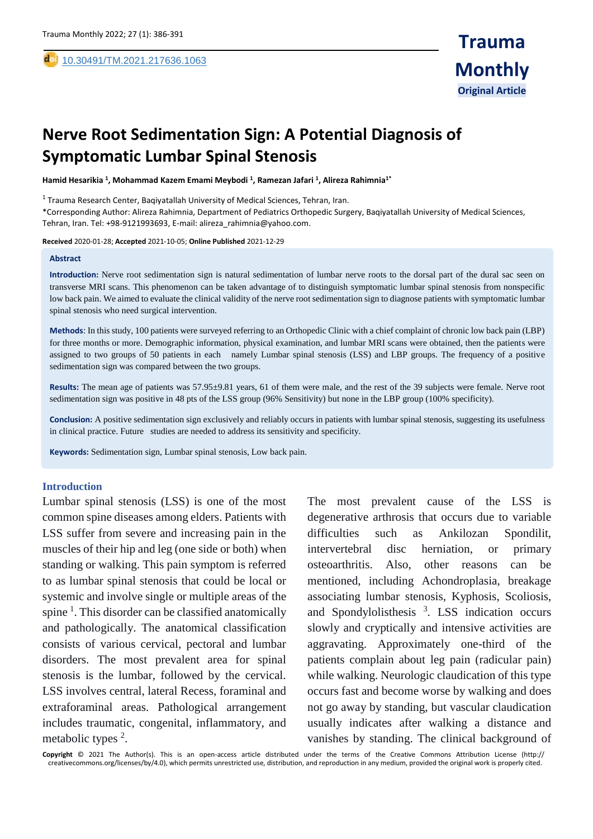# **Nerve Root Sedimentation Sign: A Potential Diagnosis of Symptomatic Lumbar Spinal Stenosis**

**Hamid Hesarikia <sup>1</sup> , Mohammad Kazem Emami Meybodi <sup>1</sup> , Ramezan Jafari <sup>1</sup> , Alireza Rahimnia1\***

 $^1$  Trauma Research Center, Baqiyatallah University of Medical Sciences, Tehran, Iran.

\*Corresponding Author: Alireza Rahimnia, Department of Pediatrics Orthopedic Surgery, Baqiyatallah University of Medical Sciences, Tehran, Iran. Tel: +98-9121993693, E-mail: alireza\_rahimnia@yahoo.com.

**Received** 2020-01-28; **Accepted** 2021-10-05; **Online Published** 2021-12-29

#### **Abstract**

,

**Introduction:** Nerve root sedimentation sign is natural sedimentation of lumbar nerve roots to the dorsal part of the dural sac seen on transverse MRI scans. This phenomenon can be taken advantage of to distinguish symptomatic lumbar spinal stenosis from nonspecific low back pain. We aimed to evaluate the clinical validity of the nerve root sedimentation sign to diagnose patients with symptomatic lumbar spinal stenosis who need surgical intervention.

**Methods**: In this study, 100 patients were surveyed referring to an Orthopedic Clinic with a chief complaint of chronic low back pain (LBP) for three months or more. Demographic information, physical examination, and lumbar MRI scans were obtained, then the patients were assigned to two groups of 50 patients in each namely Lumbar spinal stenosis (LSS) and LBP groups. The frequency of a positive sedimentation sign was compared between the two groups.

**Results:** The mean age of patients was 57.95±9.81 years, 61 of them were male, and the rest of the 39 subjects were female. Nerve root sedimentation sign was positive in 48 pts of the LSS group (96% Sensitivity) but none in the LBP group (100% specificity).

**Conclusion:** A positive sedimentation sign exclusively and reliably occurs in patients with lumbar spinal stenosis, suggesting its usefulness in clinical practice. Future studies are needed to address its sensitivity and specificity.

**Keywords:** Sedimentation sign, Lumbar spinal stenosis, Low back pain.

#### **Introduction**

Lumbar spinal stenosis (LSS) is one of the most common spine diseases among elders. Patients with LSS suffer from severe and increasing pain in the muscles of their hip and leg (one side or both) when standing or walking. This pain symptom is referred to as lumbar spinal stenosis that could be local or systemic and involve single or multiple areas of the spine<sup>1</sup>. This disorder can be classified anatomically and pathologically. The anatomical classification consists of various cervical, pectoral and lumbar disorders. The most prevalent area for spinal stenosis is the lumbar, followed by the cervical. LSS involves central, lateral Recess, foraminal and extraforaminal areas. Pathological arrangement includes traumatic, congenital, inflammatory, and metabolic types <sup>2</sup>.

The most prevalent cause of the LSS is degenerative arthrosis that occurs due to variable difficulties such as Ankilozan Spondilit, intervertebral disc herniation, or primary osteoarthritis. Also, other reasons can be mentioned, including Achondroplasia, breakage associating lumbar stenosis, Kyphosis, Scoliosis, and Spondylolisthesis<sup>3</sup>. LSS indication occurs slowly and cryptically and intensive activities are aggravating. Approximately one-third of the patients complain about leg pain (radicular pain) while walking. Neurologic claudication of this type occurs fast and become worse by walking and does not go away by standing, but vascular claudication usually indicates after walking a distance and vanishes by standing. The clinical background of

**Copyright** © 2021 The Author(s). This is an open-access article distributed under the terms of the Creative Commons Attribution License (http:// creativecommons.org/licenses/by/4.0), which permits unrestricted use, distribution, and reproduction in any medium, provided the original work is properly cited.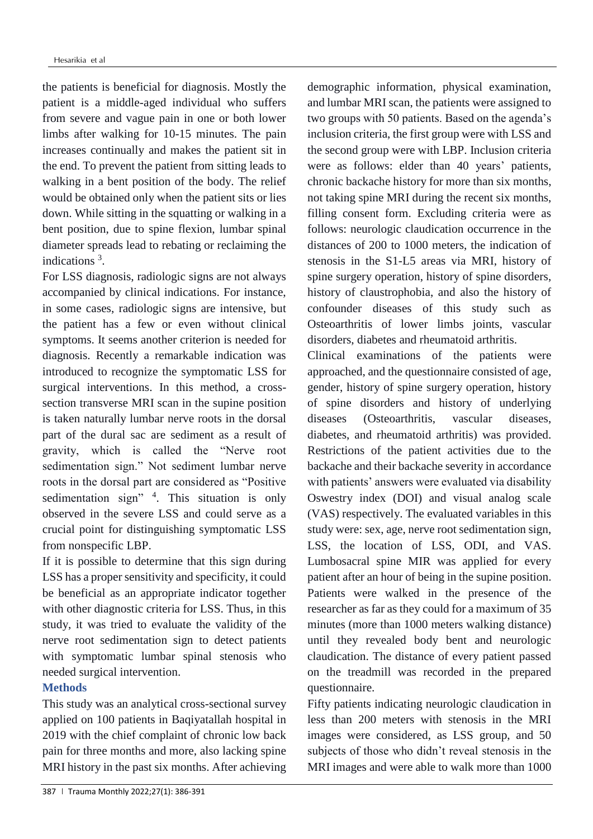the patients is beneficial for diagnosis. Mostly the patient is a middle-aged individual who suffers from severe and vague pain in one or both lower limbs after walking for 10-15 minutes. The pain increases continually and makes the patient sit in the end. To prevent the patient from sitting leads to walking in a bent position of the body. The relief would be obtained only when the patient sits or lies down. While sitting in the squatting or walking in a bent position, due to spine flexion, lumbar spinal diameter spreads lead to rebating or reclaiming the indications<sup>3</sup>.

For LSS diagnosis, radiologic signs are not always accompanied by clinical indications. For instance, in some cases, radiologic signs are intensive, but the patient has a few or even without clinical symptoms. It seems another criterion is needed for diagnosis. Recently a remarkable indication was introduced to recognize the symptomatic LSS for surgical interventions. In this method, a crosssection transverse MRI scan in the supine position is taken naturally lumbar nerve roots in the dorsal part of the dural sac are sediment as a result of gravity, which is called the "Nerve root sedimentation sign." Not sediment lumbar nerve roots in the dorsal part are considered as "Positive sedimentation sign" <sup>4</sup>. This situation is only observed in the severe LSS and could serve as a crucial point for distinguishing symptomatic LSS from nonspecific LBP.

If it is possible to determine that this sign during LSS has a proper sensitivity and specificity, it could be beneficial as an appropriate indicator together with other diagnostic criteria for LSS. Thus, in this study, it was tried to evaluate the validity of the nerve root sedimentation sign to detect patients with symptomatic lumbar spinal stenosis who needed surgical intervention.

# **Methods**

This study was an analytical cross-sectional survey applied on 100 patients in Baqiyatallah hospital in 2019 with the chief complaint of chronic low back pain for three months and more, also lacking spine MRI history in the past six months. After achieving demographic information, physical examination, and lumbar MRI scan, the patients were assigned to two groups with 50 patients. Based on the agenda's inclusion criteria, the first group were with LSS and the second group were with LBP. Inclusion criteria were as follows: elder than 40 years' patients, chronic backache history for more than six months, not taking spine MRI during the recent six months, filling consent form. Excluding criteria were as follows: neurologic claudication occurrence in the distances of 200 to 1000 meters, the indication of stenosis in the S1-L5 areas via MRI, history of spine surgery operation, history of spine disorders, history of claustrophobia, and also the history of confounder diseases of this study such as Osteoarthritis of lower limbs joints, vascular disorders, diabetes and rheumatoid arthritis.

Clinical examinations of the patients were approached, and the questionnaire consisted of age, gender, history of spine surgery operation, history of spine disorders and history of underlying diseases (Osteoarthritis, vascular diseases, diabetes, and rheumatoid arthritis) was provided. Restrictions of the patient activities due to the backache and their backache severity in accordance with patients' answers were evaluated via disability Oswestry index (DOI) and visual analog scale (VAS) respectively. The evaluated variables in this study were: sex, age, nerve root sedimentation sign, LSS, the location of LSS, ODI, and VAS. Lumbosacral spine MIR was applied for every patient after an hour of being in the supine position. Patients were walked in the presence of the researcher as far as they could for a maximum of 35 minutes (more than 1000 meters walking distance) until they revealed body bent and neurologic claudication. The distance of every patient passed on the treadmill was recorded in the prepared questionnaire.

Fifty patients indicating neurologic claudication in less than 200 meters with stenosis in the MRI images were considered, as LSS group, and 50 subjects of those who didn't reveal stenosis in the MRI images and were able to walk more than 1000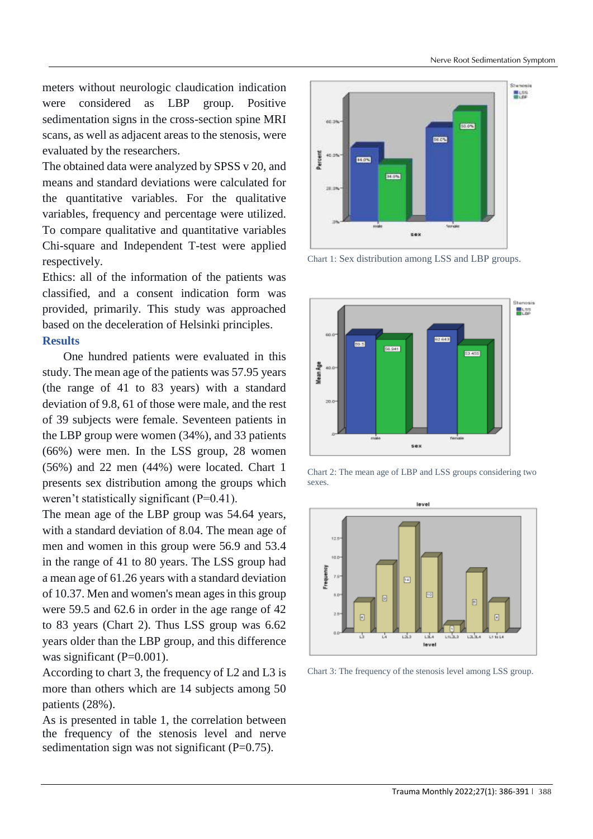meters without neurologic claudication indication were considered as LBP group. Positive sedimentation signs in the cross-section spine MRI scans, as well as adjacent areas to the stenosis, were evaluated by the researchers.

The obtained data were analyzed by SPSS v 20, and means and standard deviations were calculated for the quantitative variables. For the qualitative variables, frequency and percentage were utilized. To compare qualitative and quantitative variables Chi-square and Independent T-test were applied respectively.

Ethics: all of the information of the patients was classified, and a consent indication form was provided, primarily. This study was approached based on the deceleration of Helsinki principles.

# **Results**

 One hundred patients were evaluated in this study. The mean age of the patients was 57.95 years (the range of 41 to 83 years) with a standard deviation of 9.8, 61 of those were male, and the rest of 39 subjects were female. Seventeen patients in the LBP group were women (34%), and 33 patients (66%) were men. In the LSS group, 28 women (56%) and 22 men (44%) were located. Chart 1 presents sex distribution among the groups which weren't statistically significant (P=0.41).

The mean age of the LBP group was 54.64 years, with a standard deviation of 8.04. The mean age of men and women in this group were 56.9 and 53.4 in the range of 41 to 80 years. The LSS group had a mean age of 61.26 years with a standard deviation of 10.37. Men and women's mean ages in this group were 59.5 and 62.6 in order in the age range of 42 to 83 years (Chart 2). Thus LSS group was 6.62 years older than the LBP group, and this difference was significant  $(P=0.001)$ .

According to chart 3, the frequency of L2 and L3 is more than others which are 14 subjects among 50 patients (28%).

As is presented in table 1, the correlation between the frequency of the stenosis level and nerve sedimentation sign was not significant  $(P=0.75)$ .



Chart 1: Sex distribution among LSS and LBP groups.







Chart 3: The frequency of the stenosis level among LSS group.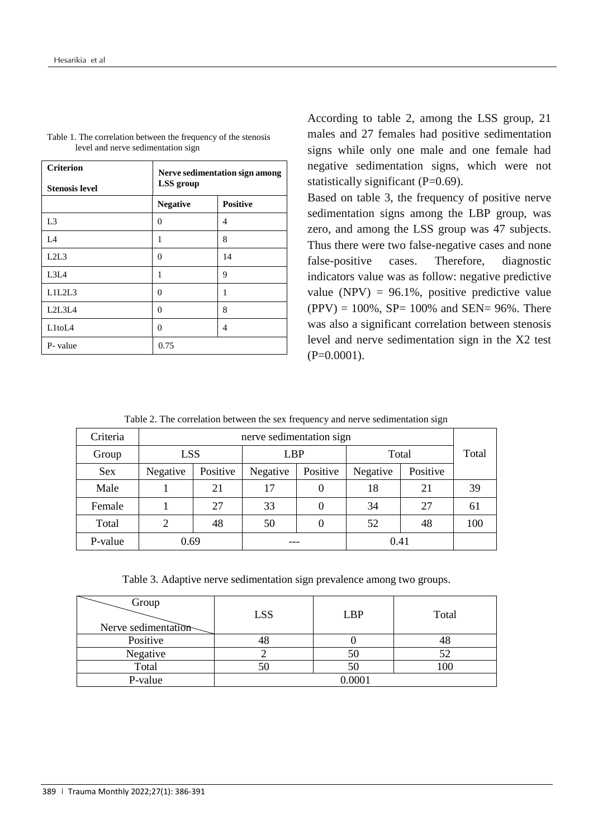| <b>Criterion</b><br><b>Stenosis level</b> | Nerve sedimentation sign among<br>LSS group |                 |  |
|-------------------------------------------|---------------------------------------------|-----------------|--|
|                                           | <b>Negative</b>                             | <b>Positive</b> |  |
| L <sub>3</sub>                            | $\theta$                                    | 4               |  |
| L4                                        | 1                                           | 8               |  |
| L2L3                                      | $\Omega$                                    | 14              |  |
| L3L4                                      | 1                                           | 9               |  |
| L1L2L3                                    | $\theta$                                    | 1               |  |
| L2L3L4                                    | $\Omega$                                    | 8               |  |
| L <sub>1to</sub> L <sub>4</sub>           | 0                                           | 4               |  |
| P-value                                   | 0.75                                        |                 |  |

Table 1. The correlation between the frequency of the stenosis level and nerve sedimentation sign

According to table 2, among the LSS group, 21 males and 27 females had positive sedimentation signs while only one male and one female had negative sedimentation signs, which were not statistically significant (P=0.69).

Based on table 3, the frequency of positive nerve sedimentation signs among the LBP group, was zero, and among the LSS group was 47 subjects. Thus there were two false-negative cases and none false-positive cases. Therefore, diagnostic indicators value was as follow: negative predictive value (NPV) =  $96.1\%$ , positive predictive value  $(PPV) = 100\%$ , SP= 100% and SEN= 96%. There was also a significant correlation between stenosis level and nerve sedimentation sign in the X2 test  $(P=0.0001)$ .

Table 2. The correlation between the sex frequency and nerve sedimentation sign

| Criteria   | nerve sedimentation sign |            |          |            |          |          |     |
|------------|--------------------------|------------|----------|------------|----------|----------|-----|
| Group      |                          | <b>LSS</b> |          | <b>LBP</b> |          | Total    |     |
| <b>Sex</b> | Negative                 | Positive   | Negative | Positive   | Negative | Positive |     |
| Male       |                          | 21         | 17       |            | 18       | 21       | 39  |
| Female     |                          | 27         | 33       |            | 34       | 27       | 61  |
| Total      | 2                        | 48         | 50       |            | 52       | 48       | 100 |
| P-value    | 0.69                     |            |          |            | 0.41     |          |     |

Table 3. Adaptive nerve sedimentation sign prevalence among two groups.

| Group<br>Nerve sedimentation | <b>LSS</b> | <b>LBP</b> | Total |  |
|------------------------------|------------|------------|-------|--|
| Positive                     |            |            |       |  |
| Negative                     |            | σU         | 52    |  |
| Total                        | 5U         | DΣ         | 100   |  |
| P-value                      | 0.0001     |            |       |  |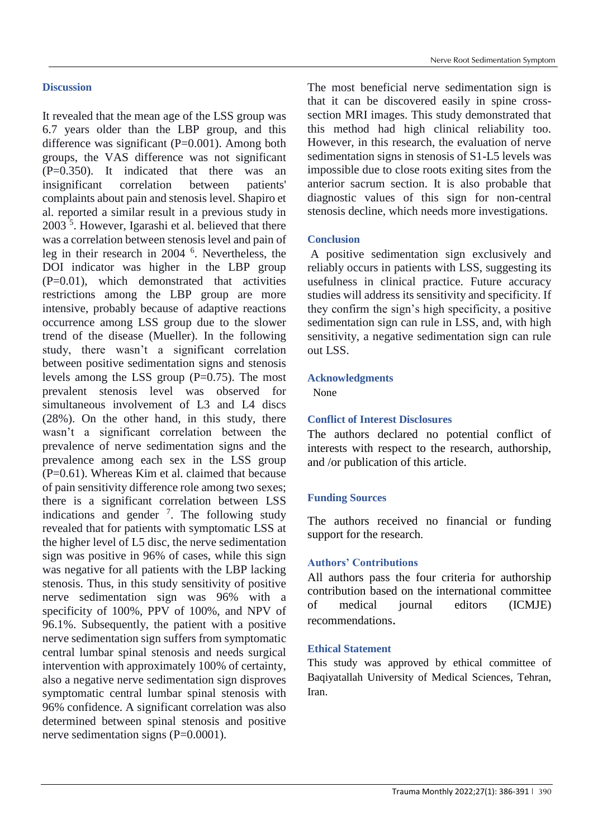# **Discussion**

It revealed that the mean age of the LSS group was 6.7 years older than the LBP group, and this difference was significant (P=0.001). Among both groups, the VAS difference was not significant (P=0.350). It indicated that there was an insignificant correlation between patients' complaints about pain and stenosis level. Shapiro et al. reported a similar result in a previous study in 2003<sup>5</sup>. However, Igarashi et al. believed that there was a correlation between stenosis level and pain of leg in their research in 2004 <sup>6</sup> . Nevertheless, the DOI indicator was higher in the LBP group  $(P=0.01)$ , which demonstrated that activities restrictions among the LBP group are more intensive, probably because of adaptive reactions occurrence among LSS group due to the slower trend of the disease (Mueller). In the following study, there wasn't a significant correlation between positive sedimentation signs and stenosis levels among the LSS group (P=0.75). The most prevalent stenosis level was observed for simultaneous involvement of L3 and L4 discs (28%). On the other hand, in this study, there wasn't a significant correlation between the prevalence of nerve sedimentation signs and the prevalence among each sex in the LSS group  $(P=0.61)$ . Whereas Kim et al. claimed that because of pain sensitivity difference role among two sexes; there is a significant correlation between LSS indications and gender  $\frac{7}{1}$ . The following study revealed that for patients with symptomatic LSS at the higher level of L5 disc, the nerve sedimentation sign was positive in 96% of cases, while this sign was negative for all patients with the LBP lacking stenosis. Thus, in this study sensitivity of positive nerve sedimentation sign was 96% with a specificity of 100%, PPV of 100%, and NPV of 96.1%. Subsequently, the patient with a positive nerve sedimentation sign suffers from symptomatic central lumbar spinal stenosis and needs surgical intervention with approximately 100% of certainty, also a negative nerve sedimentation sign disproves symptomatic central lumbar spinal stenosis with 96% confidence. A significant correlation was also determined between spinal stenosis and positive nerve sedimentation signs (P=0.0001).

The most beneficial nerve sedimentation sign is that it can be discovered easily in spine crosssection MRI images. This study demonstrated that this method had high clinical reliability too. However, in this research, the evaluation of nerve sedimentation signs in stenosis of S1-L5 levels was impossible due to close roots exiting sites from the anterior sacrum section. It is also probable that diagnostic values of this sign for non-central stenosis decline, which needs more investigations.

## **Conclusion**

A positive sedimentation sign exclusively and reliably occurs in patients with LSS, suggesting its usefulness in clinical practice. Future accuracy studies will address its sensitivity and specificity. If they confirm the sign's high specificity, a positive sedimentation sign can rule in LSS, and, with high sensitivity, a negative sedimentation sign can rule out LSS.

## **Acknowledgments**

None

# **Conflict of Interest Disclosures**

The authors declared no potential conflict of interests with respect to the research, authorship, and /or publication of this article.

# **Funding Sources**

The authors received no financial or funding support for the research.

# **Authors' Contributions**

All authors pass the four criteria for authorship contribution based on the international committee of medical journal editors (ICMJE) recommendations.

#### **Ethical Statement**

This study was approved by ethical committee of Baqiyatallah University of Medical Sciences, Tehran, Iran.